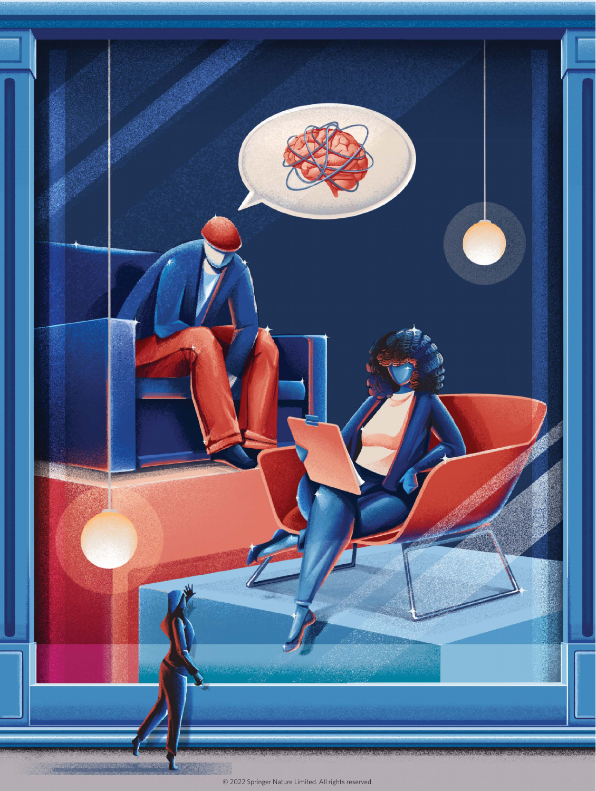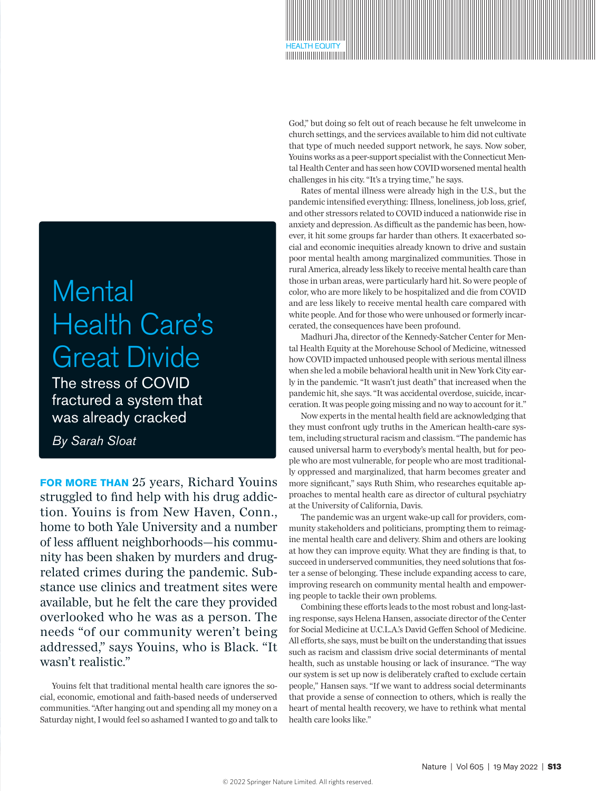# **Mental** Health Care's Great Divide

The stress of COVID fractured a system that was already cracked

*By Sarah Sloat*

**FOR MORE THAN** 25 years, Richard Youins struggled to find help with his drug addiction. Youins is from New Haven, Conn., home to both Yale University and a number of less affluent neighborhoods—his community has been shaken by murders and drugrelated crimes during the pandemic. Substance use clinics and treatment sites were available, but he felt the care they provided overlooked who he was as a person. The needs "of our community weren't being addressed," says Youins, who is Black. "It wasn't realistic."

Youins felt that traditional mental health care ignores the social, economic, emotional and faith-based needs of underserved communities. "After hanging out and spending all my money on a Saturday night, I would feel so ashamed I wanted to go and talk to God," but doing so felt out of reach because he felt unwelcome in church settings, and the services available to him did not cultivate that type of much needed support network, he says. Now sober, Youins works as a peer-support specialist with the Connecticut Mental Health Center and has seen how COVID worsened mental health challenges in his city. "It's a trying time," he says.

HEALTH EQUITY

Rates of mental illness were already high in the U.S., but the pandemic intensified everything: Illness, loneliness, job loss, grief, and other stressors related to COVID induced a nationwide rise in anxiety and depression. As difficult as the pandemic has been, however, it hit some groups far harder than others. It exacerbated social and economic inequities already known to drive and sustain poor mental health among marginalized communities. Those in rural America, already less likely to receive mental health care than those in urban areas, were particularly hard hit. So were people of color, who are more likely to be hospitalized and die from COVID and are less likely to receive mental health care compared with white people. And for those who were unhoused or formerly incarcerated, the consequences have been profound.

Madhuri Jha, director of the Kennedy-Satcher Center for Mental Health Equity at the Morehouse School of Medicine, witnessed how COVID impacted unhoused people with serious mental illness when she led a mobile behavioral health unit in New York City early in the pandemic. "It wasn't just death" that increased when the pandemic hit, she says. "It was accidental overdose, suicide, incarceration. It was people going missing and no way to account for it."

Now experts in the mental health field are acknowledging that they must confront ugly truths in the American health-care system, including structural racism and classism. "The pandemic has caused universal harm to everybody's mental health, but for people who are most vulnerable, for people who are most traditionally oppressed and marginalized, that harm becomes greater and more significant," says Ruth Shim, who researches equitable approaches to mental health care as director of cultural psychiatry at the University of California, Davis.

The pandemic was an urgent wake-up call for providers, community stakeholders and politicians, prompting them to reimagine mental health care and delivery. Shim and others are looking at how they can improve equity. What they are finding is that, to succeed in underserved communities, they need solutions that foster a sense of belonging. These include expanding access to care, improving research on community mental health and empowering people to tackle their own problems.

Combining these efforts leads to the most robust and long-lasting response, says Helena Hansen, associate director of the Center for Social Medicine at U.C.L.A.'s David Geffen School of Medicine. All efforts, she says, must be built on the understanding that issues such as racism and classism drive social determinants of mental health, such as unstable housing or lack of insurance. "The way our system is set up now is deliberately crafted to exclude certain people," Hansen says. "If we want to address social determinants that provide a sense of connection to others, which is really the heart of mental health recovery, we have to rethink what mental health care looks like."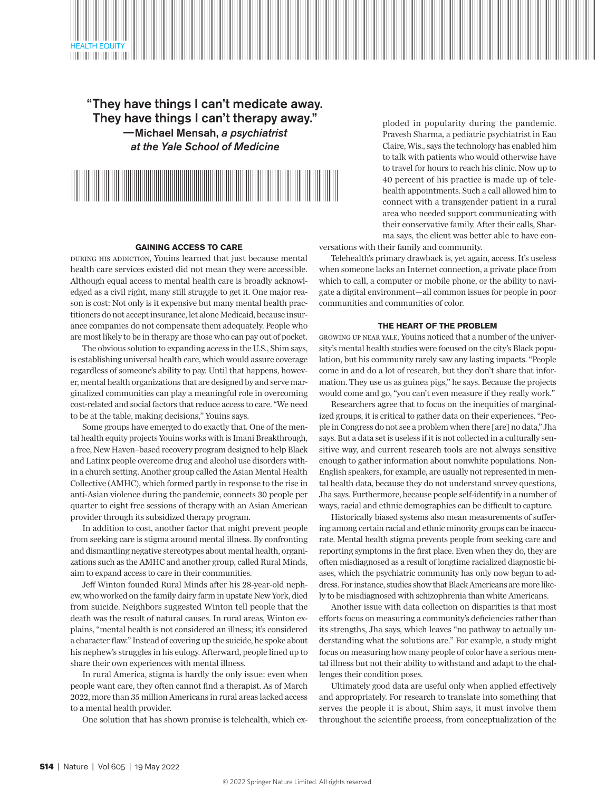

# "They have things I can't medicate away. They have things I can't therapy away." —Michael Mensah, *a psychiatrist at the Yale School of Medicine*



### **GAINING ACCESS TO CARE**

During his addiction, Youins learned that just because mental health care services existed did not mean they were accessible. Although equal access to mental health care is broadly acknowledged as a civil right, many still struggle to get it. One major reason is cost: Not only is it expensive but many mental health practitioners do not accept insurance, let alone Medicaid, because insurance companies do not compensate them adequately. People who are most likely to be in therapy are those who can pay out of pocket.

The obvious solution to expanding access in the U.S., Shim says, is establishing universal health care, which would assure coverage regardless of someone's ability to pay. Until that happens, however, mental health organizations that are designed by and serve marginalized communities can play a meaningful role in overcoming cost-related and social factors that reduce access to care. "We need to be at the table, making decisions," Youins says.

Some groups have emerged to do exactly that. One of the mental health equity projects Youins works with is Imani Breakthrough, a free, New Haven–based recovery program designed to help Black and Latinx people overcome drug and alcohol use disorders within a church setting. Another group called the Asian Mental Health Collective (AMHC), which formed partly in response to the rise in anti-Asian violence during the pandemic, connects 30 people per quarter to eight free sessions of therapy with an Asian American provider through its subsidized therapy program.

In addition to cost, another factor that might prevent people from seeking care is stigma around mental illness. By confronting and dismantling negative stereotypes about mental health, organizations such as the AMHC and another group, called Rural Minds, aim to expand access to care in their communities.

Jeff Winton founded Rural Minds after his 28-year-old nephew, who worked on the family dairy farm in upstate New York, died from suicide. Neighbors suggested Winton tell people that the death was the result of natural causes. In rural areas, Winton explains, "mental health is not considered an illness; it's considered a character flaw." Instead of covering up the suicide, he spoke about his nephew's struggles in his eulogy. Afterward, people lined up to share their own experiences with mental illness.

In rural America, stigma is hardly the only issue: even when people want care, they often cannot find a therapist. As of March 2022, more than 35 million Americans in rural areas lacked access to a mental health provider.

One solution that has shown promise is telehealth, which ex-

ploded in popularity during the pandemic. Pravesh Sharma, a pediatric psychiatrist in Eau Claire, Wis., says the technology has enabled him to talk with patients who would otherwise have to travel for hours to reach his clinic. Now up to 40 percent of his practice is made up of telehealth appointments. Such a call allowed him to connect with a transgender patient in a rural area who needed support communicating with their conservative family. After their calls, Sharma says, the client was better able to have con-

versations with their family and community.

Telehealth's primary drawback is, yet again, access. It's useless when someone lacks an Internet connection, a private place from which to call, a computer or mobile phone, or the ability to navigate a digital environment—all common issues for people in poor communities and communities of color.

#### **THE HEART OF THE PROBLEM**

Growing up near Yale, Youins noticed that a number of the university's mental health studies were focused on the city's Black population, but his community rarely saw any lasting impacts. "People come in and do a lot of research, but they don't share that information. They use us as guinea pigs," he says. Because the projects would come and go, "you can't even measure if they really work."

Researchers agree that to focus on the inequities of marginalized groups, it is critical to gather data on their experiences. "People in Congress do not see a problem when there [are] no data," Jha says. But a data set is useless if it is not collected in a culturally sensitive way, and current research tools are not always sensitive enough to gather information about nonwhite populations. Non-English speakers, for example, are usually not represented in mental health data, because they do not understand survey questions, Jha says. Furthermore, because people self-identify in a number of ways, racial and ethnic demographics can be difficult to capture.

Historically biased systems also mean measurements of suffering among certain racial and ethnic minority groups can be inaccurate. Mental health stigma prevents people from seeking care and reporting symptoms in the first place. Even when they do, they are often misdiagnosed as a result of longtime racialized diagnostic biases, which the psychiatric community has only now begun to address. For instance, studies show that Black Americans are more likely to be misdiagnosed with schizophrenia than white Americans.

Another issue with data collection on disparities is that most efforts focus on measuring a community's deficiencies rather than its strengths, Jha says, which leaves "no pathway to actually understanding what the solutions are." For example, a study might focus on measuring how many people of color have a serious mental illness but not their ability to withstand and adapt to the challenges their condition poses.

Ultimately good data are useful only when applied effectively and appropriately. For research to translate into something that serves the people it is about, Shim says, it must involve them throughout the scientific process, from conceptualization of the